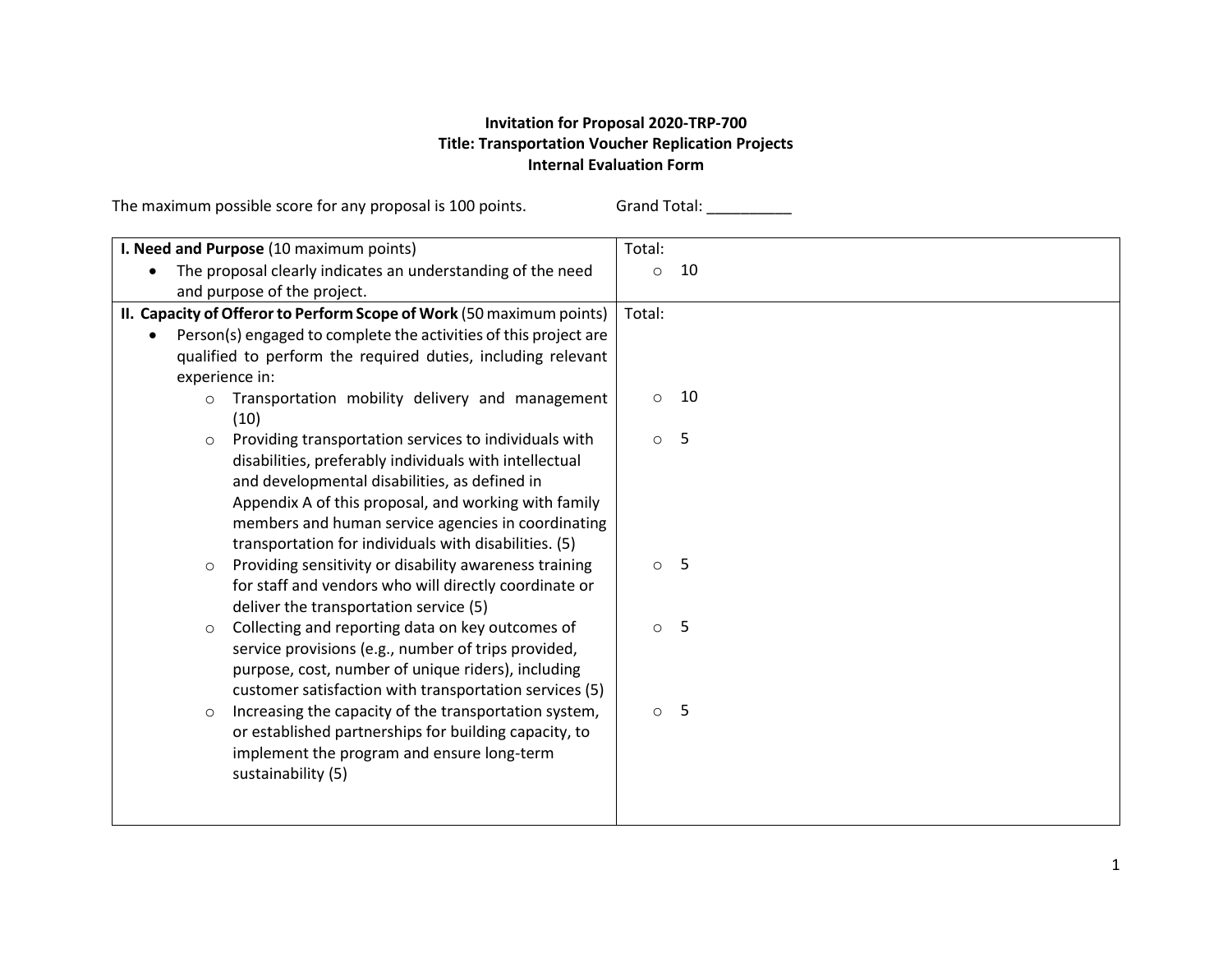## **Invitation for Proposal 2020-TRP-700 Title: Transportation Voucher Replication Projects Internal Evaluation Form**

The maximum possible score for any proposal is 100 points. Grand Total: \_\_\_\_\_\_\_\_

| I. Need and Purpose (10 maximum points)                                                                                                                                                                                                                                                                                                            | Total:        |
|----------------------------------------------------------------------------------------------------------------------------------------------------------------------------------------------------------------------------------------------------------------------------------------------------------------------------------------------------|---------------|
| The proposal clearly indicates an understanding of the need                                                                                                                                                                                                                                                                                        | 10<br>$\circ$ |
| and purpose of the project.                                                                                                                                                                                                                                                                                                                        |               |
| II. Capacity of Offeror to Perform Scope of Work (50 maximum points)                                                                                                                                                                                                                                                                               | Total:        |
| Person(s) engaged to complete the activities of this project are                                                                                                                                                                                                                                                                                   |               |
| qualified to perform the required duties, including relevant<br>experience in:                                                                                                                                                                                                                                                                     |               |
| Transportation mobility delivery and management<br>$\circ$<br>(10)                                                                                                                                                                                                                                                                                 | 10<br>$\circ$ |
| Providing transportation services to individuals with<br>$\circ$<br>disabilities, preferably individuals with intellectual<br>and developmental disabilities, as defined in<br>Appendix A of this proposal, and working with family<br>members and human service agencies in coordinating<br>transportation for individuals with disabilities. (5) | 5<br>$\circ$  |
| Providing sensitivity or disability awareness training<br>$\circ$<br>for staff and vendors who will directly coordinate or<br>deliver the transportation service (5)                                                                                                                                                                               | -5<br>$\circ$ |
| Collecting and reporting data on key outcomes of<br>$\circ$<br>service provisions (e.g., number of trips provided,<br>purpose, cost, number of unique riders), including<br>customer satisfaction with transportation services (5)                                                                                                                 | 5<br>$\circ$  |
| Increasing the capacity of the transportation system,<br>$\circ$<br>or established partnerships for building capacity, to<br>implement the program and ensure long-term<br>sustainability (5)                                                                                                                                                      | $\circ$ 5     |